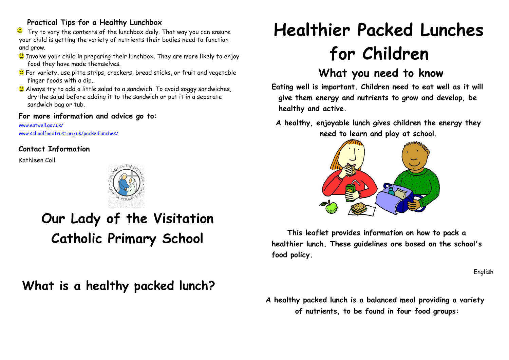#### **Practical Tips for a Healthy Lunchbox**

 $\mathbf{\mathbb{C}}$ Try to vary the contents of the lunchbox daily. That way you can ensure your child is getting the variety of nutrients their bodies need to function and grow.

- **C** Involve your child in preparing their lunchbox. They are more likely to enjoy food they have made themselves.
- For variety, use pitta strips, crackers, bread sticks, or fruit and vegetable finger foods with a dip.
- C Always try to add a little salad to a sandwich. To avoid soggy sandwiches, dry the salad before adding it to the sandwich or put it in a separate sandwich bag or tub.

#### **For more information and advice go to:**

www.eatwell.gov.uk/ www.schoolfoodtrust.org.uk/packedlunches/

### **Contact Information**

Kathleen Coll



## **Our Lady of the Visitation Catholic Primary School**

**What is a healthy packed lunch?**

# **Healthier Packed Lunches for Children**

## **What you need to know**

**Eating well is important. Children need to eat well as it will give them energy and nutrients to grow and develop, be healthy and active.**

**A healthy, enjoyable lunch gives children the energy they need to learn and play at school.**



**This leaflet provides information on how to pack a healthier lunch. These guidelines are based on the school's food policy.** 

English

**A healthy packed lunch is a balanced meal providing a variety of nutrients, to be found in four food groups:**